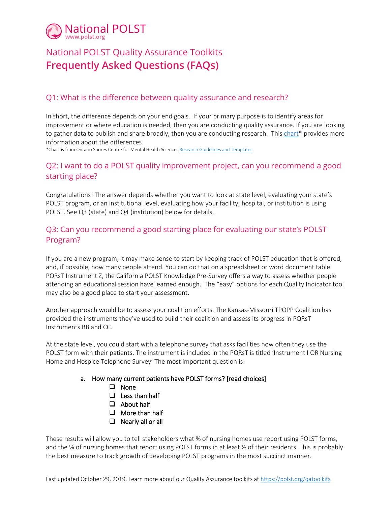

# National POLST Quality Assurance Toolkits **Frequently Asked Questions (FAQs)**

### Q1: What is the difference between quality assurance and research?

In short, the difference depends on your end goals. If your primary purpose is to identify areas for improvement or where education is needed, then you are conducting quality assurance. If you are looking to gather data to publish and share broadly, then you are conducting research. Thi[s chart\\*](https://www.ontarioshores.ca/media/827/download) provides more information about the differences.

\*Chart is from Ontario Shores Centre for Mental Health Sciences [Research Guidelines and Templates.](https://www.ontarioshores.ca/research/reb/guidelines)

### Q2: I want to do a POLST quality improvement project, can you recommend a good starting place?

Congratulations! The answer depends whether you want to look at state level, evaluating your state's POLST program, or an institutional level, evaluating how your facility, hospital, or institution is using POLST. See Q3 (state) and Q4 (institution) below for details.

# Q3: Can you recommend a good starting place for evaluating our state's POLST Program?

If you are a new program, it may make sense to start by keeping track of POLST education that is offered, and, if possible, how many people attend. You can do that on a spreadsheet or word document table. PQRsT Instrument Z, the California POLST Knowledge Pre-Survey offers a way to assess whether people attending an educational session have learned enough. The "easy" options for each Quality Indicator tool may also be a good place to start your assessment.

Another approach would be to assess your coalition efforts. The Kansas-Missouri TPOPP Coalition has provided the instruments they've used to build their coalition and assess its progress in PQRsT Instruments BB and CC.

At the state level, you could start with a telephone survey that asks facilities how often they use the POLST form with their patients. The instrument is included in the PQRsT is titled 'Instrument I OR Nursing Home and Hospice Telephone Survey' The most important question is:

#### a. How many current patients have POLST forms? [read choices]

- □ None
- $\Box$  Less than half
- About half
- $\Box$  More than half
- $\Box$  Nearly all or all

These results will allow you to tell stakeholders what % of nursing homes use report using POLST forms, and the % of nursing homes that report using POLST forms in at least ½ of their residents. This is probably the best measure to track growth of developing POLST programs in the most succinct manner.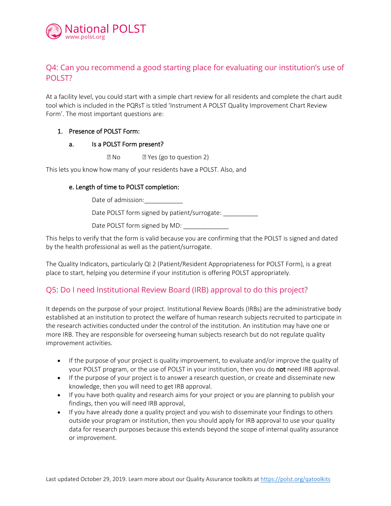

## Q4: Can you recommend a good starting place for evaluating our institution's use of POLST?

At a facility level, you could start with a simple chart review for all residents and complete the chart audit tool which is included in the PQRsT is titled 'Instrument A POLST Quality Improvement Chart Review Form'. The most important questions are:

#### 1. Presence of POLST Form:

#### a. Is a POLST Form present?

**No R** Yes (go to question 2)

This lets you know how many of your residents have a POLST. Also, and

#### e. Length of time to POLST completion:

Date of admission:

Date POLST form signed by patient/surrogate: \_\_\_\_\_\_\_\_\_\_\_

Date POLST form signed by MD:

This helps to verify that the form is valid because you are confirming that the POLST is signed and dated by the health professional as well as the patient/surrogate.

The Quality Indicators, particularly QI 2 (Patient/Resident Appropriateness for POLST Form), is a great place to start, helping you determine if your institution is offering POLST appropriately.

### Q5: Do I need Institutional Review Board (IRB) approval to do this project?

It depends on the purpose of your project. Institutional Review Boards (IRBs) are the administrative body established at an institution to protect the welfare of human research subjects recruited to participate in the research activities conducted under the control of the institution. An institution may have one or more IRB. They are responsible for overseeing human subjects research but do not regulate quality improvement activities.

- If the purpose of your project is quality improvement, to evaluate and/or improve the quality of your POLST program, or the use of POLST in your institution, then you do not need IRB approval.
- If the purpose of your project is to answer a research question, or create and disseminate new knowledge, then you will need to get IRB approval.
- If you have both quality and research aims for your project or you are planning to publish your findings, then you will need IRB approval,
- If you have already done a quality project and you wish to disseminate your findings to others outside your program or institution, then you should apply for IRB approval to use your quality data for research purposes because this extends beyond the scope of internal quality assurance or improvement.